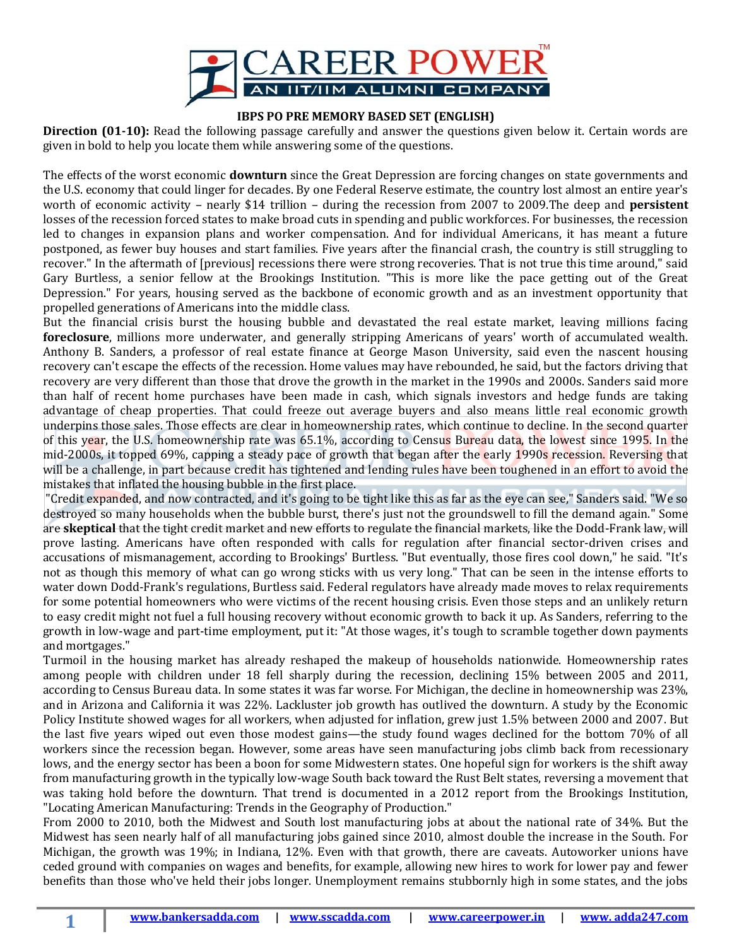

## **IBPS PO PRE MEMORY BASED SET (ENGLISH)**

**Direction (01-10):** Read the following passage carefully and answer the questions given below it. Certain words are given in bold to help you locate them while answering some of the questions.

The effects of the worst economic **downturn** since the Great Depression are forcing changes on state governments and the U.S. economy that could linger for decades. By one Federal Reserve estimate, the country lost almost an entire year's worth of economic activity – nearly \$14 trillion – during the recession from 2007 to 2009.The deep and **persistent** losses of the recession forced states to make broad cuts in spending and public workforces. For businesses, the recession led to changes in expansion plans and worker compensation. And for individual Americans, it has meant a future postponed, as fewer buy houses and start families. Five years after the financial crash, the country is still struggling to recover." In the aftermath of [previous] recessions there were strong recoveries. That is not true this time around," said Gary Burtless, a senior fellow at the Brookings Institution. "This is more like the pace getting out of the Great Depression." For years, housing served as the backbone of economic growth and as an investment opportunity that propelled generations of Americans into the middle class.

But the financial crisis burst the housing bubble and devastated the real estate market, leaving millions facing **foreclosure**, millions more underwater, and generally stripping Americans of years' worth of accumulated wealth. Anthony B. Sanders, a professor of real estate finance at George Mason University, said even the nascent housing recovery can't escape the effects of the recession. Home values may have rebounded, he said, but the factors driving that recovery are very different than those that drove the growth in the market in the 1990s and 2000s. Sanders said more than half of recent home purchases have been made in cash, which signals investors and hedge funds are taking advantage of cheap properties. That could freeze out average buyers and also means little real economic growth underpins those sales. Those effects are clear in homeownership rates, which continue to decline. In the second quarter of this year, the U.S. homeownership rate was 65.1%, according to Census Bureau data, the lowest since 1995. In the mid-2000s, it topped 69%, capping a steady pace of growth that began after the early 1990s recession. Reversing that will be a challenge, in part because credit has tightened and lending rules have been toughened in an effort to avoid the mistakes that inflated the housing bubble in the first place.

"Credit expanded, and now contracted, and it's going to be tight like this as far as the eye can see," Sanders said. "We so destroyed so many households when the bubble burst, there's just not the groundswell to fill the demand again." Some are **skeptical** that the tight credit market and new efforts to regulate the financial markets, like the Dodd-Frank law, will prove lasting. Americans have often responded with calls for regulation after financial sector-driven crises and accusations of mismanagement, according to Brookings' Burtless. "But eventually, those fires cool down," he said. "It's not as though this memory of what can go wrong sticks with us very long." That can be seen in the intense efforts to water down Dodd-Frank's regulations, Burtless said. Federal regulators have already made moves to relax requirements for some potential homeowners who were victims of the recent housing crisis. Even those steps and an unlikely return to easy credit might not fuel a full housing recovery without economic growth to back it up. As Sanders, referring to the growth in low-wage and part-time employment, put it: "At those wages, it's tough to scramble together down payments and mortgages."

Turmoil in the housing market has already reshaped the makeup of households nationwide. Homeownership rates among people with children under 18 fell sharply during the recession, declining 15% between 2005 and 2011, according to Census Bureau data. In some states it was far worse. For Michigan, the decline in homeownership was 23%, and in Arizona and California it was 22%. Lackluster job growth has outlived the downturn. A study by the Economic Policy Institute showed wages for all workers, when adjusted for inflation, grew just 1.5% between 2000 and 2007. But the last five years wiped out even those modest gains—the study found wages declined for the bottom 70% of all workers since the recession began. However, some areas have seen manufacturing jobs climb back from recessionary lows, and the energy sector has been a boon for some Midwestern states. One hopeful sign for workers is the shift away from manufacturing growth in the typically low-wage South back toward the Rust Belt states, reversing a movement that was taking hold before the downturn. That trend is documented in a 2012 report from the Brookings Institution, "Locating American Manufacturing: Trends in the Geography of Production."

From 2000 to 2010, both the Midwest and South lost manufacturing jobs at about the national rate of 34%. But the Midwest has seen nearly half of all manufacturing jobs gained since 2010, almost double the increase in the South. For Michigan, the growth was 19%; in Indiana, 12%. Even with that growth, there are caveats. Autoworker unions have ceded ground with companies on wages and benefits, for example, allowing new hires to work for lower pay and fewer benefits than those who've held their jobs longer. Unemployment remains stubbornly high in some states, and the jobs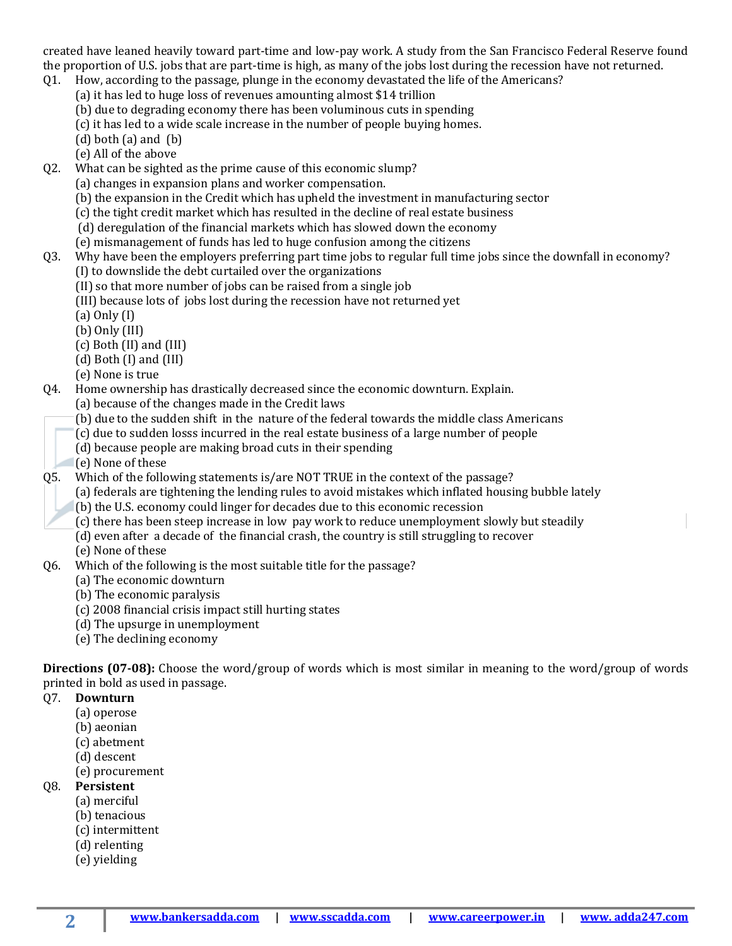created have leaned heavily toward part-time and low-pay work. A study from the San Francisco Federal Reserve found the proportion of U.S. jobs that are part-time is high, as many of the jobs lost during the recession have not returned.

- Q1. How, according to the passage, plunge in the economy devastated the life of the Americans?
	- (a) it has led to huge loss of revenues amounting almost \$14 trillion
	- (b) due to degrading economy there has been voluminous cuts in spending
	- (c) it has led to a wide scale increase in the number of people buying homes.
	- (d) both (a) and (b)
	- (e) All of the above
- Q2. What can be sighted as the prime cause of this economic slump?
	- (a) changes in expansion plans and worker compensation.
	- (b) the expansion in the Credit which has upheld the investment in manufacturing sector
	- (c) the tight credit market which has resulted in the decline of real estate business
	- (d) deregulation of the financial markets which has slowed down the economy
	- (e) mismanagement of funds has led to huge confusion among the citizens
- Q3. Why have been the employers preferring part time jobs to regular full time jobs since the downfall in economy?
	- (I) to downslide the debt curtailed over the organizations
	- (II) so that more number of jobs can be raised from a single job
	- (III) because lots of jobs lost during the recession have not returned yet
	- (a) Only (I)
	- (b) Only (III)
	- (c) Both (II) and (III)
	- $(d)$  Both  $(I)$  and  $(III)$
	- (e) None is true
- Q4. Home ownership has drastically decreased since the economic downturn. Explain.
	- (a) because of the changes made in the Credit laws
		- (b) due to the sudden shift in the nature of the federal towards the middle class Americans
		- (c) due to sudden losss incurred in the real estate business of a large number of people
		- (d) because people are making broad cuts in their spending
	- (e) None of these
- Q5. Which of the following statements is/are NOT TRUE in the context of the passage?
	- (a) federals are tightening the lending rules to avoid mistakes which inflated housing bubble lately
	- (b) the U.S. economy could linger for decades due to this economic recession
	- (c) there has been steep increase in low pay work to reduce unemployment slowly but steadily
	- (d) even after a decade of the financial crash, the country is still struggling to recover
	- (e) None of these
- Q6. Which of the following is the most suitable title for the passage?
	- (a) The economic downturn
	- (b) The economic paralysis
	- (c) 2008 financial crisis impact still hurting states
	- (d) The upsurge in unemployment
	- (e) The declining economy

**Directions (07-08):** Choose the word/group of words which is most similar in meaning to the word/group of words printed in bold as used in passage.

## Q7. **Downturn**

- (a) operose
- (b) aeonian
- (c) abetment
- (d) descent
- (e) procurement
- Q8. **Persistent**
	- (a) merciful
	- (b) tenacious
	- (c) intermittent
	- (d) relenting
	- (e) yielding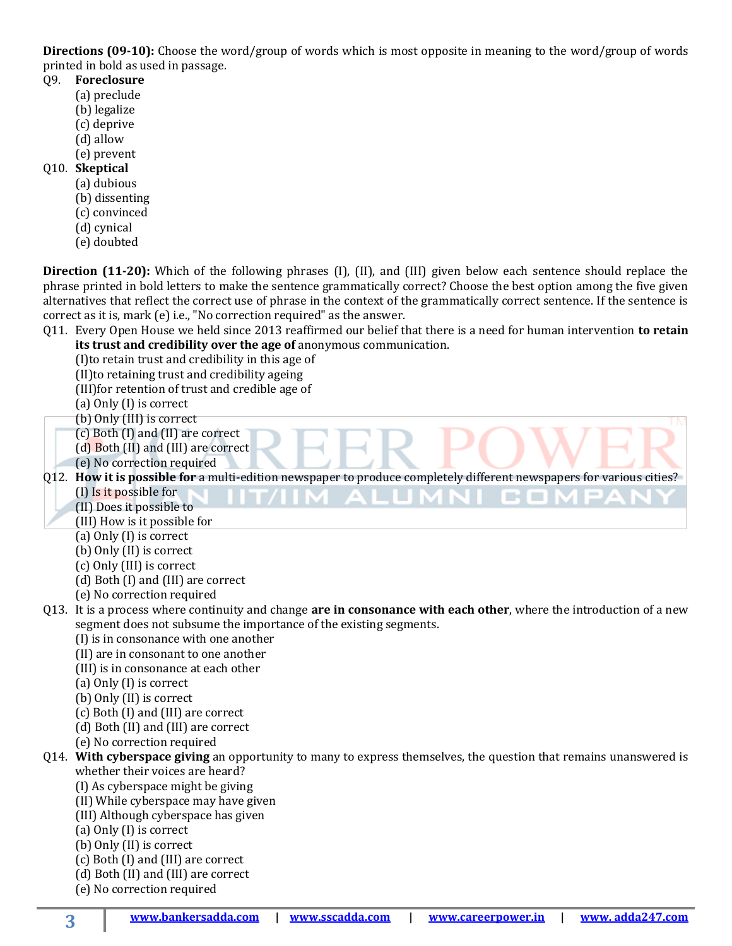**Directions (09-10):** Choose the word/group of words which is most opposite in meaning to the word/group of words printed in bold as used in passage.

## Q9. **Foreclosure**

- (a) preclude
- (b) legalize
- (c) deprive
- (d) allow
- (e) prevent

## Q10. **Skeptical**

- (a) dubious
- (b) dissenting
- (c) convinced
- (d) cynical
- (e) doubted

**Direction (11-20):** Which of the following phrases (I), (II), and (III) given below each sentence should replace the phrase printed in bold letters to make the sentence grammatically correct? Choose the best option among the five given alternatives that reflect the correct use of phrase in the context of the grammatically correct sentence. If the sentence is correct as it is, mark (e) i.e., "No correction required" as the answer.

Q11. Every Open House we held since 2013 reaffirmed our belief that there is a need for human intervention **to retain its trust and credibility over the age of** anonymous communication.

(I)to retain trust and credibility in this age of

(II)to retaining trust and credibility ageing

(III)for retention of trust and credible age of

- (a) Only (I) is correct
- (b) Only (III) is correct
- (c) Both (I) and (II) are correct
- (d) Both (II) and (III) are correct
- (e) No correction required

Q12. **How it is possible for** a multi-edition newspaper to produce completely different newspapers for various cities?

 $\mathcal{L}$ **The Contract of the Contract** 

- (I) Is it possible for
- (II) Does it possible to
- (III) How is it possible for
- (a) Only (I) is correct
- (b) Only (II) is correct
- (c) Only (III) is correct
- (d) Both (I) and (III) are correct
- (e) No correction required
- Q13. It is a process where continuity and change **are in consonance with each other**, where the introduction of a new segment does not subsume the importance of the existing segments.
	- (I) is in consonance with one another
	- (II) are in consonant to one another
	- (III) is in consonance at each other
	- (a) Only (I) is correct
	- (b) Only (II) is correct
	- (c) Both (I) and (III) are correct
	- (d) Both (II) and (III) are correct
	- (e) No correction required
- Q14. **With cyberspace giving** an opportunity to many to express themselves, the question that remains unanswered is whether their voices are heard?
	- (I) As cyberspace might be giving
	- (II) While cyberspace may have given
	- (III) Although cyberspace has given
	- (a) Only (I) is correct

**3**

- (b) Only (II) is correct
- (c) Both (I) and (III) are correct
- (d) Both (II) and (III) are correct
- (e) No correction required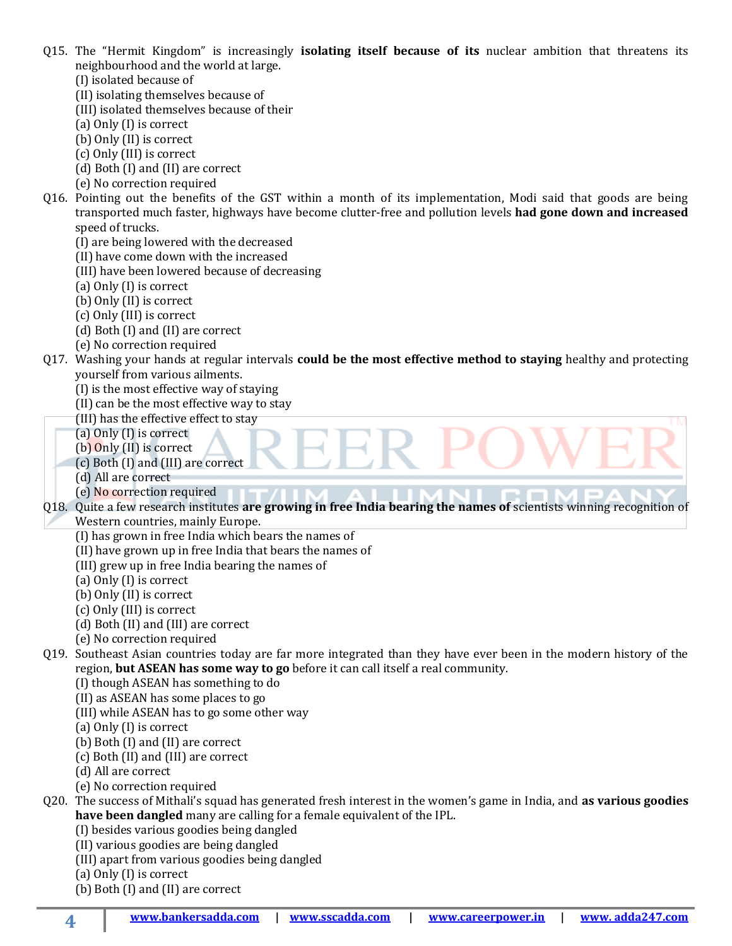- Q15. The "Hermit Kingdom" is increasingly **isolating itself because of its** nuclear ambition that threatens its neighbourhood and the world at large.
	- (I) isolated because of
	- (II) isolating themselves because of
	- (III) isolated themselves because of their
	- (a) Only (I) is correct
	- (b) Only (II) is correct
	- (c) Only (III) is correct
	- (d) Both (I) and (II) are correct
	- (e) No correction required
- Q16. Pointing out the benefits of the GST within a month of its implementation, Modi said that goods are being transported much faster, highways have become clutter-free and pollution levels **had gone down and increased** speed of trucks.
	- (I) are being lowered with the decreased
	- (II) have come down with the increased
	- (III) have been lowered because of decreasing
	- (a) Only (I) is correct
	- (b) Only (II) is correct
	- (c) Only (III) is correct
	- (d) Both (I) and (II) are correct
	- (e) No correction required
- Q17. Washing your hands at regular intervals **could be the most effective method to staying** healthy and protecting yourself from various ailments.
	- (I) is the most effective way of staying
	- (II) can be the most effective way to stay
	- (III) has the effective effect to stay
	- (a) Only (I) is correct
	- (b) Only (II) is correct
	- (c) Both (I) and (III) are correct
	- (d) All are correct
- (e) No correction required Q18. Quite a few research institutes **are growing in free India bearing the names of** scientists winning recognition of Western countries, mainly Europe.
	-
	- (I) has grown in free India which bears the names of
	- (II) have grown up in free India that bears the names of
	- (III) grew up in free India bearing the names of
	- (a) Only (I) is correct
	- (b) Only (II) is correct
	- (c) Only (III) is correct
	- (d) Both (II) and (III) are correct
	- (e) No correction required
- Q19. Southeast Asian countries today are far more integrated than they have ever been in the modern history of the region, **but ASEAN has some way to go** before it can call itself a real community.
	- (I) though ASEAN has something to do
	- (II) as ASEAN has some places to go
	- (III) while ASEAN has to go some other way
	- (a) Only (I) is correct
	- (b) Both (I) and (II) are correct
	- (c) Both (II) and (III) are correct
	- (d) All are correct
	- (e) No correction required
- Q20. The success of Mithali's squad has generated fresh interest in the women's game in India, and **as various goodies have been dangled** many are calling for a female equivalent of the IPL.
	- (I) besides various goodies being dangled
	- (II) various goodies are being dangled
	- (III) apart from various goodies being dangled
	- (a) Only (I) is correct

**4**

(b) Both (I) and (II) are correct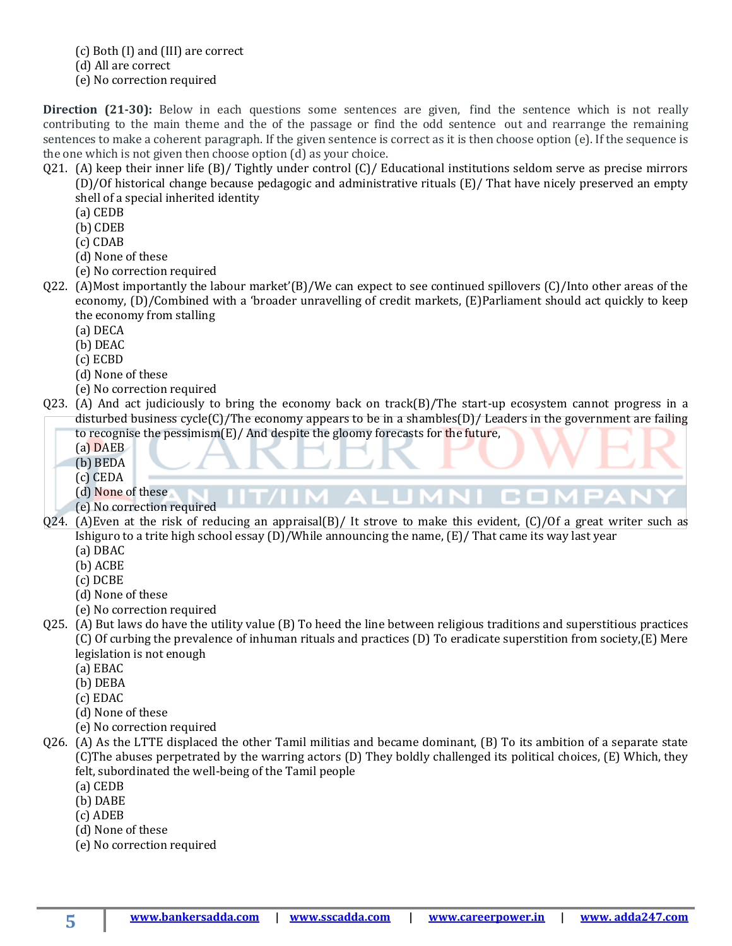(c) Both (I) and (III) are correct

(d) All are correct

(e) No correction required

**Direction (21-30):** Below in each questions some sentences are given, find the sentence which is not really contributing to the main theme and the of the passage or find the odd sentence out and rearrange the remaining sentences to make a coherent paragraph. If the given sentence is correct as it is then choose option (e). If the sequence is the one which is not given then choose option (d) as your choice.

- Q21. (A) keep their inner life  $(B)/T$ ightly under control  $(C)/T$  Educational institutions seldom serve as precise mirrors (D)/Of historical change because pedagogic and administrative rituals (E)/ That have nicely preserved an empty shell of a special inherited identity
	- (a) CEDB
	- (b) CDEB
	- (c) CDAB
	- (d) None of these
	- (e) No correction required
- Q22. (A)Most importantly the labour market'(B)/We can expect to see continued spillovers  $(C)/$ Into other areas of the economy, (D)/Combined with a 'broader unravelling of credit markets, (E)Parliament should act quickly to keep the economy from stalling
	- (a) DECA
	- (b) DEAC
	- (c) ECBD
	- (d) None of these
	- (e) No correction required
- Q23. (A) And act judiciously to bring the economy back on track(B)/The start-up ecosystem cannot progress in a disturbed business cycle(C)/The economy appears to be in a shambles(D)/ Leaders in the government are failing to recognise the pessimism(E)/ And despite the gloomy forecasts for the future,
	- (a) DAEB
	- (b) BEDA
	- (c) CEDA
	- (d) None of these
	- (e) No correction required
- Q24. (A)Even at the risk of reducing an appraisal(B)/ It strove to make this evident, (C)/Of a great writer such as Ishiguro to a trite high school essay (D)/While announcing the name, (E)/ That came its way last year (a) DBAC

ALUMNI COMP

- (b) ACBE
- (c) DCBE
- 
- (d) None of these (e) No correction required
- Q25. (A) But laws do have the utility value (B) To heed the line between religious traditions and superstitious practices (C) Of curbing the prevalence of inhuman rituals and practices (D) To eradicate superstition from society,(E) Mere legislation is not enough
	- (a) EBAC
	- (b) DEBA
	- (c) EDAC
	- (d) None of these
	- (e) No correction required
- Q26. (A) As the LTTE displaced the other Tamil militias and became dominant, (B) To its ambition of a separate state (C)The abuses perpetrated by the warring actors (D) They boldly challenged its political choices, (E) Which, they felt, subordinated the well-being of the Tamil people
	- (a) CEDB
	- (b) DABE
	- (c) ADEB

**5**

- (d) None of these
- (e) No correction required